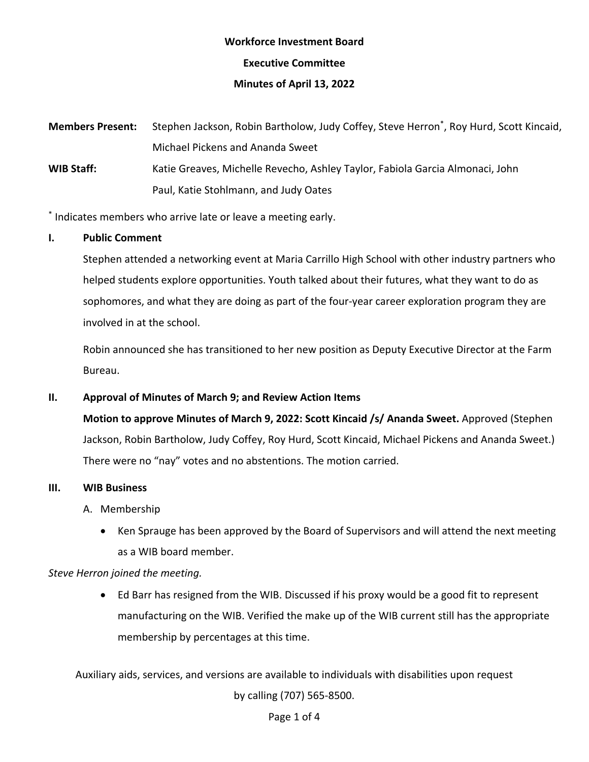# **Workforce Investment Board**

**Executive Committee** 

### **Minutes of April 13, 2022**

**Members Present:**  Paul, Katie Stohlmann, and Judy Oates **Members Present:** Stephen Jackson, Robin Bartholow, Judy Coffey, Steve Herron\* , Roy Hurd, Scott Kincaid, Michael Pickens and Ananda Sweet **WIB Staff:** Katie Greaves, Michelle Revecho, Ashley Taylor, Fabiola Garcia Almonaci, John

\* Indicates members who arrive late or leave a meeting early.

## **I. Public Comment**

 helped students explore opportunities. Youth talked about their futures, what they want to do as sophomores, and what they are doing as part of the four-year career exploration program they are Stephen attended a networking event at Maria Carrillo High School with other industry partners who involved in at the school.

 Robin announced she has transitioned to her new position as Deputy Executive Director at the Farm Bureau.

## **II. Approval of Minutes of March 9; and Review Action Items**

 **Motion to approve Minutes of March 9, 2022: Scott Kincaid /s/ Ananda Sweet.** Approved (Stephen Jackson, Robin Bartholow, Judy Coffey, Roy Hurd, Scott Kincaid, Michael Pickens and Ananda Sweet.) There were no "nay" votes and no abstentions. The motion carried.

#### **III. WIB Business**

A. Membership

• Ken Sprauge has been approved by the Board of Supervisors and will attend the next meeting as a WIB board member.

## *Steve Herron joined the meeting.*

• Ed Barr has resigned from the WIB. Discussed if his proxy would be a good fit to represent manufacturing on the WIB. Verified the make up of the WIB current still has the appropriate membership by percentages at this time.

Auxiliary aids, services, and versions are available to individuals with disabilities upon request by calling (707) 565-8500.

#### Page 1 of 4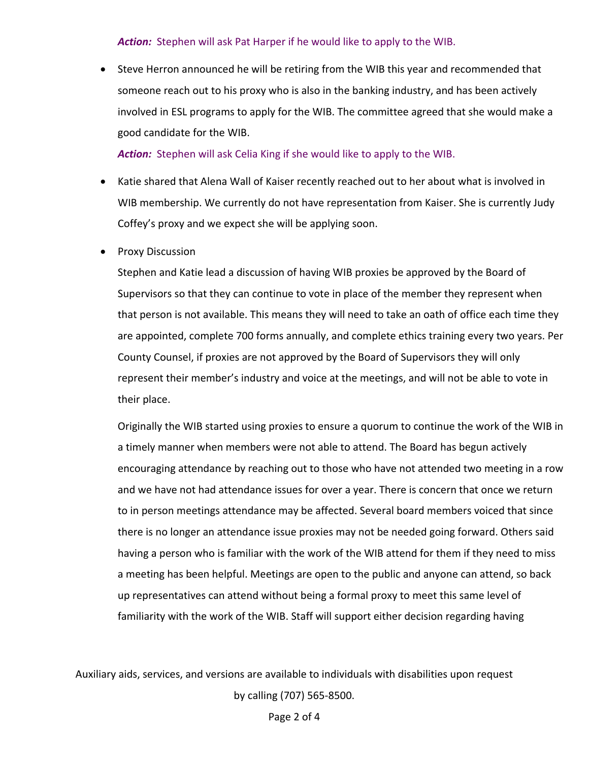#### *Action:* Stephen will ask Pat Harper if he would like to apply to the WIB.

• Steve Herron announced he will be retiring from the WIB this year and recommended that someone reach out to his proxy who is also in the banking industry, and has been actively involved in ESL programs to apply for the WIB. The committee agreed that she would make a good candidate for the WIB.

*Action:* Stephen will ask Celia King if she would like to apply to the WIB.

- Coffey's proxy and we expect she will be applying soon. • Katie shared that Alena Wall of Kaiser recently reached out to her about what is involved in WIB membership. We currently do not have representation from Kaiser. She is currently Judy
- Proxy Discussion

 Stephen and Katie lead a discussion of having WIB proxies be approved by the Board of represent their member's industry and voice at the meetings, and will not be able to vote in Supervisors so that they can continue to vote in place of the member they represent when that person is not available. This means they will need to take an oath of office each time they are appointed, complete 700 forms annually, and complete ethics training every two years. Per County Counsel, if proxies are not approved by the Board of Supervisors they will only their place.

 to in person meetings attendance may be affected. Several board members voiced that since up representatives can attend without being a formal proxy to meet this same level of Originally the WIB started using proxies to ensure a quorum to continue the work of the WIB in a timely manner when members were not able to attend. The Board has begun actively encouraging attendance by reaching out to those who have not attended two meeting in a row and we have not had attendance issues for over a year. There is concern that once we return there is no longer an attendance issue proxies may not be needed going forward. Others said having a person who is familiar with the work of the WIB attend for them if they need to miss a meeting has been helpful. Meetings are open to the public and anyone can attend, so back familiarity with the work of the WIB. Staff will support either decision regarding having

Auxiliary aids, services, and versions are available to individuals with disabilities upon request by calling (707) 565-8500.

Page 2 of 4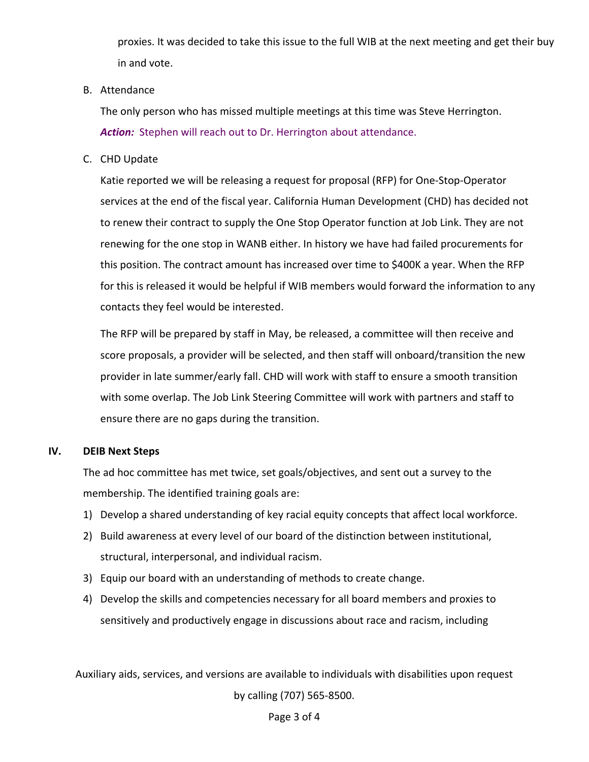in and vote. proxies. It was decided to take this issue to the full WIB at the next meeting and get their buy

#### B. Attendance

in and vote.<br>
B. Attendance<br>
The only person who has missed multiple meetings at this time was Steve Herrington. *Action:* Stephen will reach out to Dr. Herrington about attendance.

C. CHD Update

 this position. The contract amount has increased over time to \$400K a year. When the RFP Katie reported we will be releasing a request for proposal (RFP) for One-Stop-Operator services at the end of the fiscal year. California Human Development (CHD) has decided not to renew their contract to supply the One Stop Operator function at Job Link. They are not renewing for the one stop in WANB either. In history we have had failed procurements for for this is released it would be helpful if WIB members would forward the information to any contacts they feel would be interested.

 The RFP will be prepared by staff in May, be released, a committee will then receive and ensure there are no gaps during the transition. score proposals, a provider will be selected, and then staff will onboard/transition the new provider in late summer/early fall. CHD will work with staff to ensure a smooth transition with some overlap. The Job Link Steering Committee will work with partners and staff to

#### **IV. DEIB Next Steps**

The ad hoc committee has met twice, set goals/objectives, and sent out a survey to the membership. The identified training goals are:

- 1) Develop a shared understanding of key racial equity concepts that affect local workforce.
- 2) Build awareness at every level of our board of the distinction between institutional, structural, interpersonal, and individual racism.
- 3) Equip our board with an understanding of methods to create change.
- 4) Develop the skills and competencies necessary for all board members and proxies to sensitively and productively engage in discussions about race and racism, including

Auxiliary aids, services, and versions are available to individuals with disabilities upon request by calling (707) 565-8500.

#### Page 3 of 4